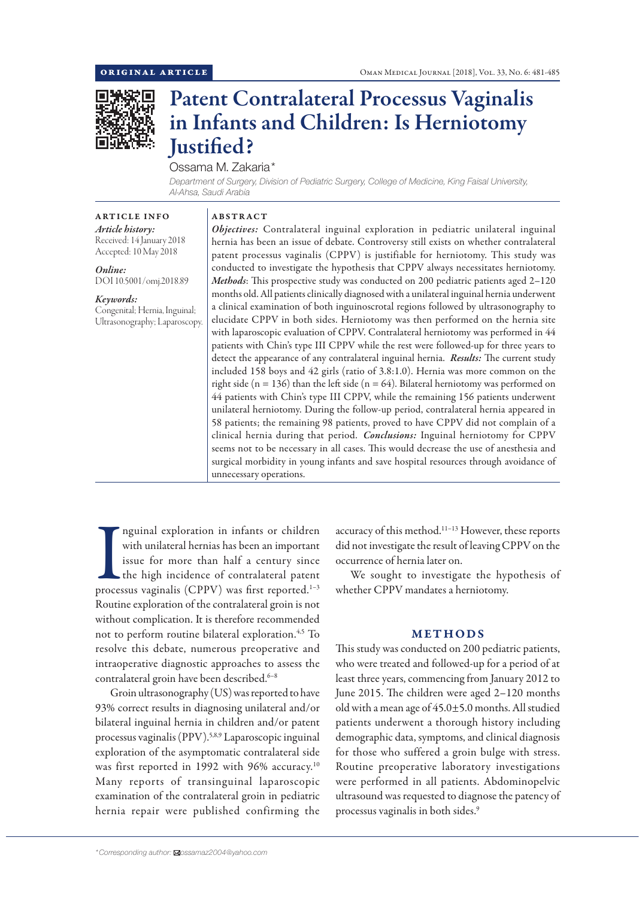

# Patent Contralateral Processus Vaginalis in Infants and Children: Is Herniotomy Justified?

Ossama M. Zakaria\*

 *Department of Surgery, Division of Pediatric Surgery, College of Medicine, King Faisal University, Al-Ahsa, Saudi Arabia*

#### ARTICLE INFO

*Article history:* Received: 14 January 2018 Accepted: 10 May 2018

*Online:* DOI 10.5001/omj.2018.89

*Keywords:* 

Congenital; Hernia, Inguinal; Ultrasonography; Laparoscopy.

## ABSTRACT

*Objectives:* Contralateral inguinal exploration in pediatric unilateral inguinal hernia has been an issue of debate. Controversy still exists on whether contralateral patent processus vaginalis (CPPV) is justifiable for herniotomy. This study was conducted to investigate the hypothesis that CPPV always necessitates herniotomy. *Methods*: This prospective study was conducted on 200 pediatric patients aged 2–120 months old. All patients clinically diagnosed with a unilateral inguinal hernia underwent a clinical examination of both inguinoscrotal regions followed by ultrasonography to elucidate CPPV in both sides. Herniotomy was then performed on the hernia site with laparoscopic evaluation of CPPV. Contralateral herniotomy was performed in 44 patients with Chin's type III CPPV while the rest were followed-up for three years to detect the appearance of any contralateral inguinal hernia. *Results:* The current study included 158 boys and 42 girls (ratio of 3.8:1.0). Hernia was more common on the right side ( $n = 136$ ) than the left side ( $n = 64$ ). Bilateral herniotomy was performed on 44 patients with Chin's type III CPPV, while the remaining 156 patients underwent unilateral herniotomy. During the follow-up period, contralateral hernia appeared in 58 patients; the remaining 98 patients, proved to have CPPV did not complain of a clinical hernia during that period. *Conclusions:* Inguinal herniotomy for CPPV seems not to be necessary in all cases. This would decrease the use of anesthesia and surgical morbidity in young infants and save hospital resources through avoidance of unnecessary operations.

In means of children with unilateral hernias has been an important<br>issue for more than half a century since<br>the high incidence of contralateral patent<br>processus vaginalis (CPPV) was first reported.<sup>1–3</sup> nguinal exploration in infants or children with unilateral hernias has been an important issue for more than half a century since the high incidence of contralateral patent Routine exploration of the contralateral groin is not without complication. It is therefore recommended not to perform routine bilateral exploration.<sup>4,5</sup> To resolve this debate, numerous preoperative and intraoperative diagnostic approaches to assess the contralateral groin have been described.<sup>6-8</sup>

Groin ultrasonography (US) was reported to have 93% correct results in diagnosing unilateral and/or bilateral inguinal hernia in children and/or patent processus vaginalis (PPV).<sup>5,8,9</sup> Laparoscopic inguinal exploration of the asymptomatic contralateral side was first reported in 1992 with 96% accuracy.10 Many reports of transinguinal laparoscopic examination of the contralateral groin in pediatric hernia repair were published confirming the

accuracy of this method.11–13 However, these reports did not investigate the result of leaving CPPV on the occurrence of hernia later on.

We sought to investigate the hypothesis of whether CPPV mandates a herniotomy.

#### METHODS

This study was conducted on 200 pediatric patients, who were treated and followed-up for a period of at least three years, commencing from January 2012 to June 2015. The children were aged 2–120 months old with a mean age of 45.0±5.0 months. All studied patients underwent a thorough history including demographic data, symptoms, and clinical diagnosis for those who suffered a groin bulge with stress. Routine preoperative laboratory investigations were performed in all patients. Abdominopelvic ultrasound was requested to diagnose the patency of processus vaginalis in both sides.9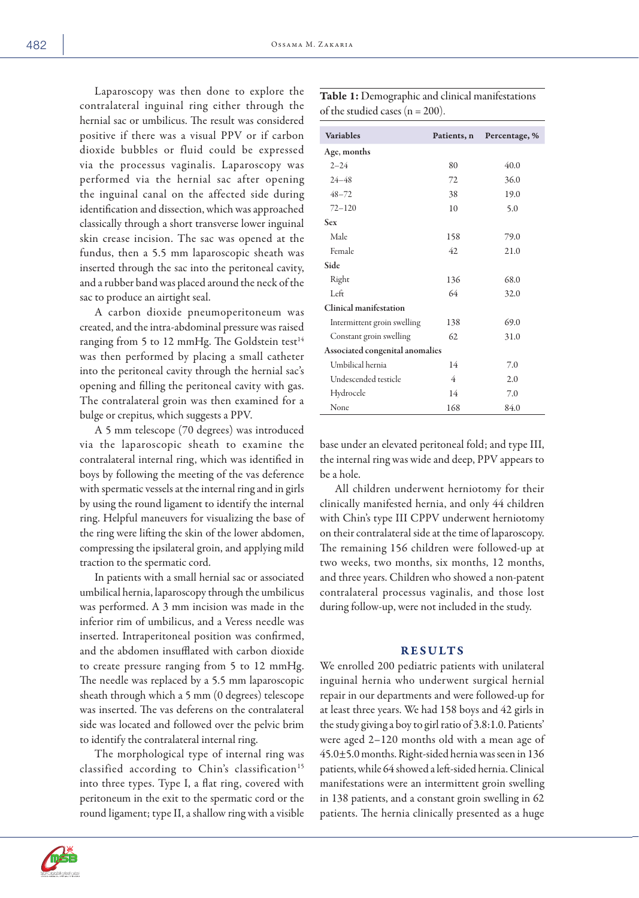Age, months

Laparoscopy was then done to explore the contralateral inguinal ring either through the hernial sac or umbilicus. The result was considered positive if there was a visual PPV or if carbon dioxide bubbles or fluid could be expressed via the processus vaginalis. Laparoscopy was performed via the hernial sac after opening the inguinal canal on the affected side during identification and dissection, which was approache classically through a short transverse lower inguin skin crease incision. The sac was opened at the fundus, then a 5.5 mm laparoscopic sheath was inserted through the sac into the peritoneal cavit and a rubber band was placed around the neck of th sac to produce an airtight seal.

A carbon dioxide pneumoperitoneum w created, and the intra-abdominal pressure was raise ranging from 5 to 12 mmHg. The Goldstein test was then performed by placing a small cathet into the peritoneal cavity through the hernial sac opening and filling the peritoneal cavity with ga The contralateral groin was then examined for bulge or crepitus, which suggests a PPV.

A 5 mm telescope (70 degrees) was introduce via the laparoscopic sheath to examine the contralateral internal ring, which was identified in boys by following the meeting of the vas deference with spermatic vessels at the internal ring and in girls by using the round ligament to identify the internal ring. Helpful maneuvers for visualizing the base of the ring were lifting the skin of the lower abdomen, compressing the ipsilateral groin, and applying mild traction to the spermatic cord.

In patients with a small hernial sac or associated umbilical hernia, laparoscopy through the umbilicus was performed. A 3 mm incision was made in the inferior rim of umbilicus, and a Veress needle was inserted. Intraperitoneal position was confirmed, and the abdomen insufflated with carbon dioxide to create pressure ranging from 5 to 12 mmHg. The needle was replaced by a 5.5 mm laparoscopic sheath through which a 5 mm (0 degrees) telescope was inserted. The vas deferens on the contralateral side was located and followed over the pelvic brim to identify the contralateral internal ring.

The morphological type of internal ring was classified according to Chin's classification<sup>15</sup> into three types. Type I, a flat ring, covered with peritoneum in the exit to the spermatic cord or the round ligament; type II, a shallow ring with a visible

| 24–48                           |  | 72             | 36.0 |
|---------------------------------|--|----------------|------|
| $48 - 72$                       |  | 38             | 19.0 |
| $72 - 120$                      |  | 10             | 5.0  |
| <b>Sex</b>                      |  |                |      |
| Male                            |  | 158            | 79.0 |
| Female                          |  | 42             | 21.0 |
| Side                            |  |                |      |
| Right                           |  | 136            | 68.0 |
| Left                            |  | 64             | 32.0 |
| Clinical manifestation          |  |                |      |
| Intermittent groin swelling     |  | 138            | 69.0 |
| Constant groin swelling         |  | 62             | 31.0 |
| Associated congenital anomalies |  |                |      |
| Umbilical hernia                |  | 14             | 7.0  |
| Undescended testicle            |  | $\overline{4}$ | 2.0  |
| Hydrocele                       |  | 14             | 7.0  |
| None                            |  | 168            | 84.0 |

Table 1: Demographic and clinical manifestations of the studied cases  $(n = 200)$ .

Variables Patients, n Percentage, %

 $2-24$  80 40.0

base under an elevated peritoneal fold; and type III, the internal ring was wide and deep, PPV appears to be a hole.

All children underwent herniotomy for their clinically manifested hernia, and only 44 children with Chin's type III CPPV underwent herniotomy on their contralateral side at the time of laparoscopy. The remaining 156 children were followed-up at two weeks, two months, six months, 12 months, and three years. Children who showed a non-patent contralateral processus vaginalis, and those lost during follow-up, were not included in the study.

#### RESULTS

We enrolled 200 pediatric patients with unilateral inguinal hernia who underwent surgical hernial repair in our departments and were followed-up for at least three years. We had 158 boys and 42 girls in the study giving a boy to girl ratio of 3.8:1.0. Patients' were aged 2–120 months old with a mean age of 45.0±5.0 months. Right-sided hernia was seen in 136 patients, while 64 showed a left-sided hernia. Clinical manifestations were an intermittent groin swelling in 138 patients, and a constant groin swelling in 62 patients. The hernia clinically presented as a huge

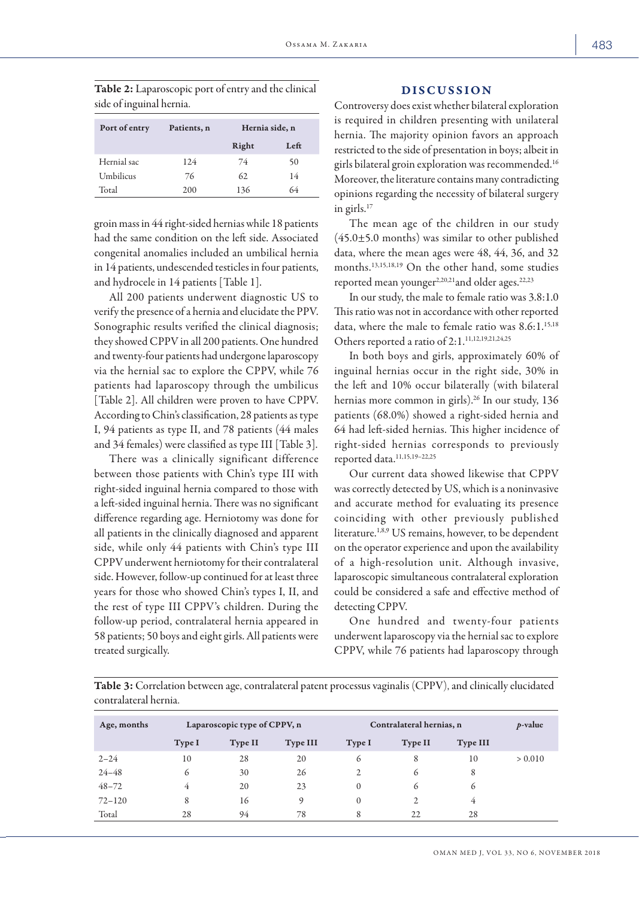Table 2: Laparoscopic port of entry and the clinical side of inguinal hernia.

| Port of entry | Patients, n | Hernia side, n |      |  |
|---------------|-------------|----------------|------|--|
|               |             | Right          | Left |  |
| Hernial sac   | 124         | 74             | 50   |  |
| Umbilicus     | 76          | 62.            | 14   |  |
| Total         | 200         | 136            | 64   |  |

groin mass in 44 right-sided hernias while 18 patients had the same condition on the left side. Associated congenital anomalies included an umbilical hernia in 14 patients, undescended testicles in four patients, and hydrocele in 14 patients [Table 1].

All 200 patients underwent diagnostic US to verify the presence of a hernia and elucidate the PPV. Sonographic results verified the clinical diagnosis; they showed CPPV in all 200 patients. One hundred and twenty-four patients had undergone laparoscopy via the hernial sac to explore the CPPV, while 76 patients had laparoscopy through the umbilicus [Table 2]. All children were proven to have CPPV. According to Chin's classification, 28 patients as type I, 94 patients as type II, and 78 patients (44 males and 34 females) were classified as type III [Table 3].

There was a clinically significant difference between those patients with Chin's type III with right-sided inguinal hernia compared to those with a left-sided inguinal hernia. There was no significant difference regarding age. Herniotomy was done for all patients in the clinically diagnosed and apparent side, while only 44 patients with Chin's type III CPPV underwent herniotomy for their contralateral side. However, follow-up continued for at least three years for those who showed Chin's types I, II, and the rest of type III CPPV's children. During the follow-up period, contralateral hernia appeared in 58 patients; 50 boys and eight girls. All patients were treated surgically.

#### DISCUSSION

Controversy does exist whether bilateral exploration is required in children presenting with unilateral hernia. The majority opinion favors an approach restricted to the side of presentation in boys; albeit in girls bilateral groin exploration was recommended.16 Moreover, the literature contains many contradicting opinions regarding the necessity of bilateral surgery in girls.17

The mean age of the children in our study  $(45.0 \pm 5.0$  months) was similar to other published data, where the mean ages were 48, 44, 36, and 32 months.13,15,18,19 On the other hand, some studies reported mean younger<sup>2,20,21</sup> and older ages.<sup>22,23</sup>

In our study, the male to female ratio was 3.8:1.0 This ratio was not in accordance with other reported data, where the male to female ratio was  $8.6:1.^{15,18}$ Others reported a ratio of 2:1.<sup>11,12,19,21,24,25</sup>

In both boys and girls, approximately 60% of inguinal hernias occur in the right side, 30% in the left and 10% occur bilaterally (with bilateral hernias more common in girls).<sup>26</sup> In our study, 136 patients (68.0%) showed a right-sided hernia and 64 had left-sided hernias. This higher incidence of right-sided hernias corresponds to previously reported data.11,15,19–22,25

Our current data showed likewise that CPPV was correctly detected by US, which is a noninvasive and accurate method for evaluating its presence coinciding with other previously published literature.<sup>1,8,9</sup> US remains, however, to be dependent on the operator experience and upon the availability of a high-resolution unit. Although invasive, laparoscopic simultaneous contralateral exploration could be considered a safe and effective method of detecting CPPV.

One hundred and twenty-four patients underwent laparoscopy via the hernial sac to explore CPPV, while 76 patients had laparoscopy through

Table 3: Correlation between age, contralateral patent processus vaginalis (CPPV), and clinically elucidated contralateral hernia.

| Age, months | Laparoscopic type of CPPV, n |                | Contralateral hernias, n |          |         | $p$ -value      |         |
|-------------|------------------------------|----------------|--------------------------|----------|---------|-----------------|---------|
|             | Type I                       | <b>Type II</b> | <b>Type III</b>          | Type I   | Type II | <b>Type III</b> |         |
| $2 - 24$    | 10                           | 28             | 20                       | 6        | 8       | 10              | > 0.010 |
| $24 - 48$   | 6                            | 30             | 26                       | C        | 6       | 8               |         |
| $48 - 72$   | 4                            | 20             | 23                       | $\Omega$ | 6       | 6               |         |
| $72 - 120$  | 8                            | 16             | O)                       | $\Omega$ | 2       | 4               |         |
| Total       | 28                           | 94             | 78                       | 8        | 22      | 28              |         |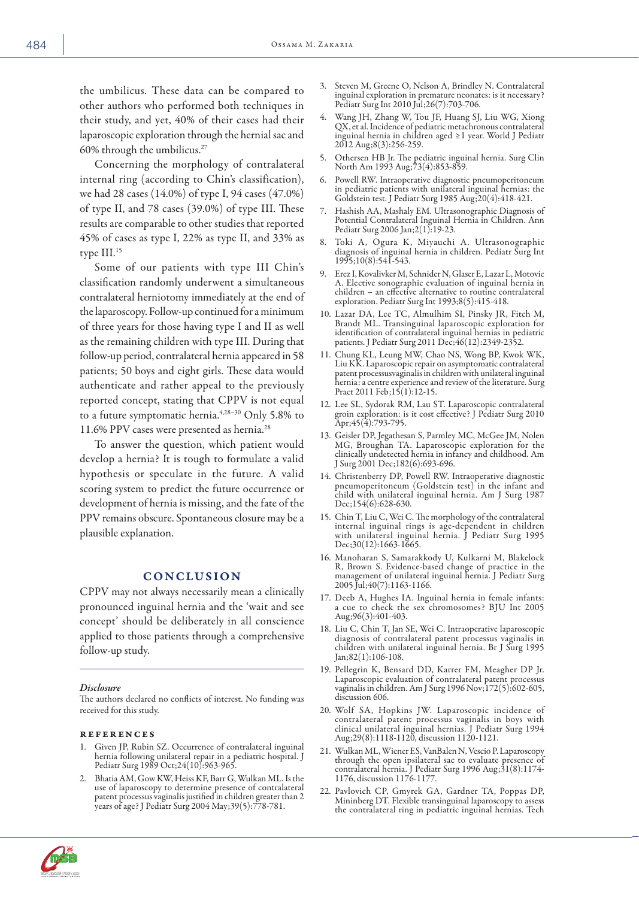the umbilicus. These data can be compared to other authors who performed both techniques in their study, and yet, 40% of their cases had their laparoscopic exploration through the hernial sac and 60% through the umbilicus.27

Concerning the morphology of contralateral internal ring (according to Chin's classification), we had 28 cases (14.0%) of type I, 94 cases (47.0%) of type II, and 78 cases (39.0%) of type III. These results are comparable to other studies that reported 45% of cases as type I, 22% as type II, and 33% as type III.15

Some of our patients with type III Chin's classification randomly underwent a simultaneous contralateral herniotomy immediately at the end of the laparoscopy. Follow-up continued for a minimum of three years for those having type I and II as well as the remaining children with type III. During that follow-up period, contralateral hernia appeared in 58 patients; 50 boys and eight girls. These data would authenticate and rather appeal to the previously reported concept, stating that CPPV is not equal to a future symptomatic hernia.4,28–30 Only 5.8% to 11.6% PPV cases were presented as hernia.28

To answer the question, which patient would develop a hernia? It is tough to formulate a valid hypothesis or speculate in the future. A valid scoring system to predict the future occurrence or development of hernia is missing, and the fate of the PPV remains obscure. Spontaneous closure may be a plausible explanation.

### **CONCLUSION**

CPPV may not always necessarily mean a clinically pronounced inguinal hernia and the 'wait and see concept' should be deliberately in all conscience applied to those patients through a comprehensive follow-up study.

#### *Disclosure*

The authors declared no conflicts of interest. No funding was received for this study.

#### references

- Given JP, Rubin SZ. Occurrence of contralateral inguinal hernia following unilateral repair in a pediatric hospital. J Pediatr Surg 1989 Oct;24(10):963-965.
- 2. Bhatia AM, Gow KW, Heiss KF, Barr G, Wulkan ML. Is the use of laparoscopy to determine presence of contralateral patent processus vaginalis justified in children greater than 2 years of age? J Pediatr Surg 2004 May;39(5):778-781.
- Steven M, Greene O, Nelson A, Brindley N. Contralateral inguinal exploration in premature neonates: is it necessary? Pediatr Surg Int 2010 Jul;26(7):703-706.
- 4. Wang JH, Zhang W, Tou JF, Huang SJ, Liu WG, Xiong QX, et al. Incidence of pediatric metachronous contralateral inguinal hernia in children aged ≥1 year. World J Pediatr 2012 Aug;8(3):256-259.
- 5. Othersen HB Jr. The pediatric inguinal hernia. Surg Clin North Am 1993 Aug;73(4):853-859.
- 6. Powell RW. Intraoperative diagnostic pneumoperitoneum in pediatric patients with unilateral inguinal hernias: the Goldstein test. J Pediatr Surg 1985 Aug;20(4):418-421.
- 7. Hashish AA, Mashaly EM. Ultrasonographic Diagnosis of Potential Contralateral Inguinal Hernia in Children. Ann Pediatr Surg 2006 Jan;2(1):19-23.
- Toki A, Ogura K, Miyauchi A. Ultrasonographic diagnosis of inguinal hernia in children. Pediatr Surg Int 1995;10(8):541-543.
- 9. Erez I, Kovalivker M, Schnider N, Glaser E, Lazar L, Motovic children – an effective alternative to routine contralateral exploration. Pediatr Surg Int 1993;8(5):415-418.
- 10. Lazar DA, Lee TC, Almulhim SI, Pinsky JR, Fitch M, Brandt ML. Transinguinal laparoscopic exploration for identification of contralateral inguinal hernias in pediatric patients. J Pediatr Surg 2011 Dec;46(12):2349-2352.
- 11. Chung KL, Leung MW, Chao NS, Wong BP, Kwok WK, Liu KK. Laparoscopic repair on asymptomatic contralateral patent processusvaginalis in children with unilateral inguinal hernia: a centre experience and review of the literature. Surg Pract 2011 Feb;15(1):12-15.
- 12. Lee SL, Sydorak RM, Lau ST. Laparoscopic contralateral groin exploration: is it cost effective? J Pediatr Surg 2010 Apr;45(4):793-795.
- 13. Geisler DP, Jegathesan S, Parmley MC, McGee JM, Nolen MG, Broughan TA. Laparoscopic exploration for the clinically undetected hernia in infancy and childhood. Am J Surg 2001 Dec;182(6):693-696.
- 14. Christenberry DP, Powell RW. Intraoperative diagnostic pneumoperitoneum (Goldstein test) in the infant and child with unilateral inguinal hernia. Am J Surg 1987 Dec;154(6):628-630.
- 15. Chin T, Liu C, Wei C. The morphology of the contralateral internal inguinal rings is age-dependent in children with unilateral inguinal hernia. J Pediatr Surg 1995 Dec;30(12):1663-1665.
- 16. Manoharan S, Samarakkody U, Kulkarni M, Blakelock R, Brown S. Evidence-based change of practice in the management of unilateral inguinal hernia. J Pediatr Surg 2005 Jul;40(7):1163-1166.
- 17. Deeb A, Hughes IA. Inguinal hernia in female infants: a cue to check the sex chromosomes? BJU Int 2005 Aug;96(3):401-403.
- 18. Liu C, Chin T, Jan SE, Wei C. Intraoperative laparoscopic diagnosis of contralateral patent processus vaginalis in children with unilateral inguinal hernia. Br J Surg 1995 Jan;82(1):106-108.
- 19. Pellegrin K, Bensard DD, Karrer FM, Meagher DP Jr. Laparoscopic evaluation of contralateral patent processus vaginalis in children. Am J Surg 1996 Nov;172(5):602-605, discussion 606.
- 20. Wolf SA, Hopkins JW. Laparoscopic incidence of contralateral patent processus vaginalis in boys with clinical unilateral inguinal hernias. J Pediatr Surg 1994 Aug;29(8):1118-1120, discussion 1120-1121.
- 21. Wulkan ML, Wiener ES, VanBalen N, Vescio P. Laparoscopy through the open ipsilateral sac to evaluate presence of contralateral hernia. J Pediatr Surg 1996 Aug;31(8):1174- 1176, discussion 1176-1177.
- 22. Pavlovich CP, Gmyrek GA, Gardner TA, Poppas DP, Mininberg DT. Flexible transinguinal laparoscopy to assess the contralateral ring in pediatric inguinal hernias. Tech